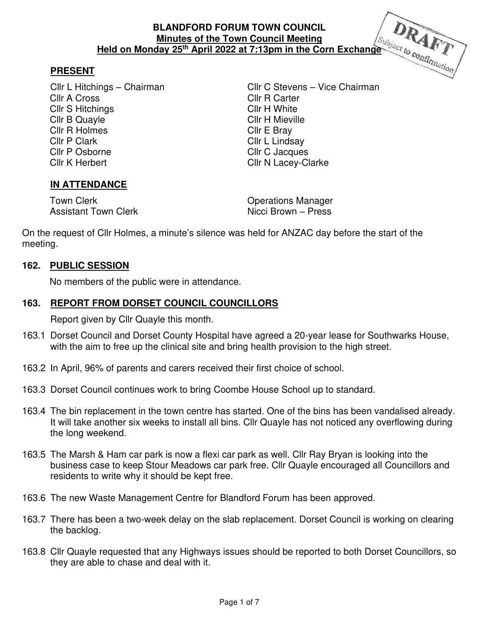# **PRESENT**

Cllr A Cross Cllr R Carter Cllr S Hitchings Cllr H White Cllr B Quayle Cllr H Mieville Cllr R Holmes Cllr E Bray Cllr P Clark Cllr L Lindsay Cllr P Osborne Cllr C Jacques Cllr K Herbert Cllr N Lacey-Clarke

Cllr L Hitchings – Chairman Cllr C Stevens – Vice Chairman

# **IN ATTENDANCE**

Town Clerk **Clerk Clerge Clerge Clerge Clerge Clerge Clerge Clerge Clerge Clerge Clerge Clerge Clerge Clerge Clerge Clerge Clerge Clerge Clerge Clerge Clerge Clerge Clerge Clerge Clerge Clerge Clerge Clerge Clerge Clerge** Assistant Town Clerk Nicci Brown – Press

On the request of Cllr Holmes, a minute's silence was held for ANZAC day before the start of the meeting.

### **162. PUBLIC SESSION**

No members of the public were in attendance.

### **163. REPORT FROM DORSET COUNCIL COUNCILLORS**

Report given by Cllr Quayle this month.

- 163.1 Dorset Council and Dorset County Hospital have agreed a 20-year lease for Southwarks House, with the aim to free up the clinical site and bring health provision to the high street.
- 163.2 In April, 96% of parents and carers received their first choice of school.
- 163.3 Dorset Council continues work to bring Coombe House School up to standard.
- 163.4 The bin replacement in the town centre has started. One of the bins has been vandalised already. It will take another six weeks to install all bins. Cllr Quayle has not noticed any overflowing during the long weekend.
- 163.5 The Marsh & Ham car park is now a flexi car park as well. Cllr Ray Bryan is looking into the business case to keep Stour Meadows car park free. Cllr Quayle encouraged all Councillors and residents to write why it should be kept free.
- 163.6 The new Waste Management Centre for Blandford Forum has been approved.
- 163.7 There has been a two-week delay on the slab replacement. Dorset Council is working on clearing the backlog.
- 163.8 Cllr Quayle requested that any Highways issues should be reported to both Dorset Councillors, so they are able to chase and deal with it.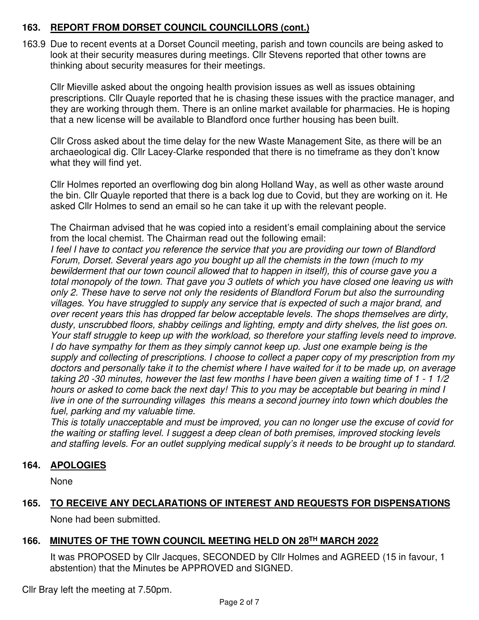# **163. REPORT FROM DORSET COUNCIL COUNCILLORS (cont.)**

163.9 Due to recent events at a Dorset Council meeting, parish and town councils are being asked to look at their security measures during meetings. Cllr Stevens reported that other towns are thinking about security measures for their meetings.

 Cllr Mieville asked about the ongoing health provision issues as well as issues obtaining prescriptions. Cllr Quayle reported that he is chasing these issues with the practice manager, and they are working through them. There is an online market available for pharmacies. He is hoping that a new license will be available to Blandford once further housing has been built.

 Cllr Cross asked about the time delay for the new Waste Management Site, as there will be an archaeological dig. Cllr Lacey-Clarke responded that there is no timeframe as they don't know what they will find yet.

 Cllr Holmes reported an overflowing dog bin along Holland Way, as well as other waste around the bin. Cllr Quayle reported that there is a back log due to Covid, but they are working on it. He asked Cllr Holmes to send an email so he can take it up with the relevant people.

 The Chairman advised that he was copied into a resident's email complaining about the service from the local chemist. The Chairman read out the following email:

I feel I have to contact you reference the service that you are providing our town of Blandford Forum, Dorset. Several years ago you bought up all the chemists in the town (much to my bewilderment that our town council allowed that to happen in itself), this of course gave you a total monopoly of the town. That gave you 3 outlets of which you have closed one leaving us with only 2. These have to serve not only the residents of Blandford Forum but also the surrounding villages. You have struggled to supply any service that is expected of such a major brand, and over recent years this has dropped far below acceptable levels. The shops themselves are dirty, dusty, unscrubbed floors, shabby ceilings and lighting, empty and dirty shelves, the list goes on. Your staff struggle to keep up with the workload, so therefore your staffing levels need to improve. I do have sympathy for them as they simply cannot keep up. Just one example being is the supply and collecting of prescriptions. I choose to collect a paper copy of my prescription from my doctors and personally take it to the chemist where I have waited for it to be made up, on average taking 20 -30 minutes, however the last few months I have been given a waiting time of 1 - 1 1/2 hours or asked to come back the next day! This to you may be acceptable but bearing in mind I live in one of the surrounding villages this means a second journey into town which doubles the fuel, parking and my valuable time.

This is totally unacceptable and must be improved, you can no longer use the excuse of covid for the waiting or staffing level. I suggest a deep clean of both premises, improved stocking levels and staffing levels. *For an outlet supplying medical supply's it needs* to be brought up to standard.

# **164. APOLOGIES**

None

# **165. TO RECEIVE ANY DECLARATIONS OF INTEREST AND REQUESTS FOR DISPENSATIONS**

None had been submitted.

# **166. MINUTES OF THE TOWN COUNCIL MEETING HELD ON 28TH MARCH 2022**

 It was PROPOSED by Cllr Jacques, SECONDED by Cllr Holmes and AGREED (15 in favour, 1 abstention) that the Minutes be APPROVED and SIGNED.

Cllr Bray left the meeting at 7.50pm.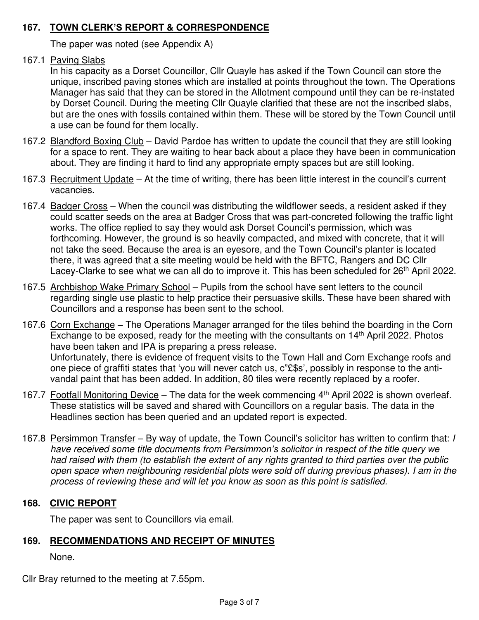# **167. TOWN CLERK'S REPORT & CORRESPONDENCE**

The paper was noted (see Appendix A)

# 167.1 Paving Slabs

In his capacity as a Dorset Councillor, Cllr Quayle has asked if the Town Council can store the unique, inscribed paving stones which are installed at points throughout the town. The Operations Manager has said that they can be stored in the Allotment compound until they can be re-instated by Dorset Council. During the meeting Cllr Quayle clarified that these are not the inscribed slabs, but are the ones with fossils contained within them. These will be stored by the Town Council until a use can be found for them locally.

- 167.2 Blandford Boxing Club David Pardoe has written to update the council that they are still looking for a space to rent. They are waiting to hear back about a place they have been in communication about. They are finding it hard to find any appropriate empty spaces but are still looking.
- 167.3 Recruitment Update At the time of writing, there has been little interest in the council's current vacancies.
- 167.4 Badger Cross When the council was distributing the wildflower seeds, a resident asked if they could scatter seeds on the area at Badger Cross that was part-concreted following the traffic light works. The office replied to say they would ask Dorset Council's permission, which was forthcoming. However, the ground is so heavily compacted, and mixed with concrete, that it will not take the seed. Because the area is an eyesore, and the Town Council's planter is located there, it was agreed that a site meeting would be held with the BFTC, Rangers and DC Cllr Lacey-Clarke to see what we can all do to improve it. This has been scheduled for 26<sup>th</sup> April 2022.
- 167.5 Archbishop Wake Primary School Pupils from the school have sent letters to the council regarding single use plastic to help practice their persuasive skills. These have been shared with Councillors and a response has been sent to the school.
- 167.6 Corn Exchange The Operations Manager arranged for the tiles behind the boarding in the Corn Exchange to be exposed, ready for the meeting with the consultants on 14<sup>th</sup> April 2022. Photos have been taken and IPA is preparing a press release. Unfortunately, there is evidence of frequent visits to the Town Hall and Corn Exchange roofs and one piece of graffiti states that 'you will never catch us, c"£\$s', possibly in response to the antivandal paint that has been added. In addition, 80 tiles were recently replaced by a roofer.
- 167.7 Footfall Monitoring Device The data for the week commencing 4<sup>th</sup> April 2022 is shown overleaf. These statistics will be saved and shared with Councillors on a regular basis. The data in the Headlines section has been queried and an updated report is expected.
- 167.8 Persimmon Transfer By way of update, the Town Council's solicitor has written to confirm that: I have received some title documents from *Persimmon's solicitor in respect of the title query we*  had raised with them (to establish the extent of any rights granted to third parties over the public open space when neighbouring residential plots were sold off during previous phases). I am in the process of reviewing these and will let you know as soon as this point is satisfied.

# **168. CIVIC REPORT**

The paper was sent to Councillors via email.

# **169. RECOMMENDATIONS AND RECEIPT OF MINUTES**

None.

Cllr Bray returned to the meeting at 7.55pm.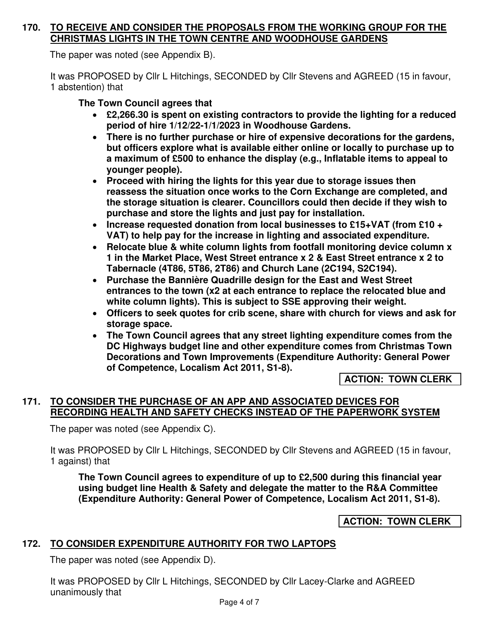# **170. TO RECEIVE AND CONSIDER THE PROPOSALS FROM THE WORKING GROUP FOR THE CHRISTMAS LIGHTS IN THE TOWN CENTRE AND WOODHOUSE GARDENS**

The paper was noted (see Appendix B).

It was PROPOSED by Cllr L Hitchings, SECONDED by Cllr Stevens and AGREED (15 in favour, 1 abstention) that

### **The Town Council agrees that**

- **£2,266.30 is spent on existing contractors to provide the lighting for a reduced period of hire 1/12/22-1/1/2023 in Woodhouse Gardens.**
- **There is no further purchase or hire of expensive decorations for the gardens, but officers explore what is available either online or locally to purchase up to a maximum of £500 to enhance the display (e.g., Inflatable items to appeal to younger people).**
- **Proceed with hiring the lights for this year due to storage issues then reassess the situation once works to the Corn Exchange are completed, and the storage situation is clearer. Councillors could then decide if they wish to purchase and store the lights and just pay for installation.**
- **Increase requested donation from local businesses to £15+VAT (from £10 + VAT) to help pay for the increase in lighting and associated expenditure.**
- **Relocate blue & white column lights from footfall monitoring device column x 1 in the Market Place, West Street entrance x 2 & East Street entrance x 2 to Tabernacle (4T86, 5T86, 2T86) and Church Lane (2C194, S2C194).**
- **Purchase the Bannière Quadrille design for the East and West Street entrances to the town (x2 at each entrance to replace the relocated blue and white column lights). This is subject to SSE approving their weight.**
- **Officers to seek quotes for crib scene, share with church for views and ask for storage space.**
- **The Town Council agrees that any street lighting expenditure comes from the DC Highways budget line and other expenditure comes from Christmas Town Decorations and Town Improvements (Expenditure Authority: General Power of Competence, Localism Act 2011, S1-8).**

**ACTION: TOWN CLERK**

# **171. TO CONSIDER THE PURCHASE OF AN APP AND ASSOCIATED DEVICES FOR RECORDING HEALTH AND SAFETY CHECKS INSTEAD OF THE PAPERWORK SYSTEM**

The paper was noted (see Appendix C).

It was PROPOSED by Cllr L Hitchings, SECONDED by Cllr Stevens and AGREED (15 in favour, 1 against) that

**The Town Council agrees to expenditure of up to £2,500 during this financial year using budget line Health & Safety and delegate the matter to the R&A Committee (Expenditure Authority: General Power of Competence, Localism Act 2011, S1-8).** 

**ACTION: TOWN CLERK**

# **172. TO CONSIDER EXPENDITURE AUTHORITY FOR TWO LAPTOPS**

The paper was noted (see Appendix D).

It was PROPOSED by Cllr L Hitchings, SECONDED by Cllr Lacey-Clarke and AGREED unanimously that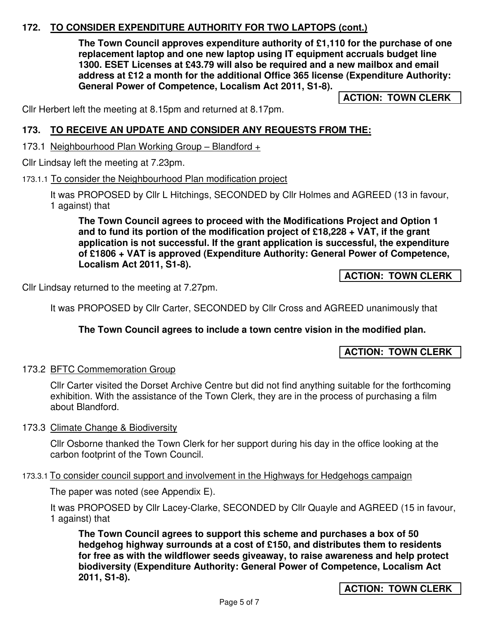# **172. TO CONSIDER EXPENDITURE AUTHORITY FOR TWO LAPTOPS (cont.)**

**The Town Council approves expenditure authority of £1,110 for the purchase of one replacement laptop and one new laptop using IT equipment accruals budget line 1300. ESET Licenses at £43.79 will also be required and a new mailbox and email address at £12 a month for the additional Office 365 license (Expenditure Authority: General Power of Competence, Localism Act 2011, S1-8).** 

**ACTION: TOWN CLERK**

Cllr Herbert left the meeting at 8.15pm and returned at 8.17pm.

#### **173. TO RECEIVE AN UPDATE AND CONSIDER ANY REQUESTS FROM THE:**

173.1 Neighbourhood Plan Working Group – Blandford +

Cllr Lindsay left the meeting at 7.23pm.

173.1.1 To consider the Neighbourhood Plan modification project

It was PROPOSED by Cllr L Hitchings, SECONDED by Cllr Holmes and AGREED (13 in favour, 1 against) that

**The Town Council agrees to proceed with the Modifications Project and Option 1 and to fund its portion of the modification project of £18,228 + VAT, if the grant application is not successful. If the grant application is successful, the expenditure of £1806 + VAT is approved (Expenditure Authority: General Power of Competence, Localism Act 2011, S1-8).** 

**ACTION: TOWN CLERK**

Cllr Lindsay returned to the meeting at 7.27pm.

It was PROPOSED by Cllr Carter, SECONDED by Cllr Cross and AGREED unanimously that

#### **The Town Council agrees to include a town centre vision in the modified plan.**

#### **ACTION: TOWN CLERK**

#### 173.2 BFTC Commemoration Group

Cllr Carter visited the Dorset Archive Centre but did not find anything suitable for the forthcoming exhibition. With the assistance of the Town Clerk, they are in the process of purchasing a film about Blandford.

173.3 Climate Change & Biodiversity

Cllr Osborne thanked the Town Clerk for her support during his day in the office looking at the carbon footprint of the Town Council.

173.3.1 To consider council support and involvement in the Highways for Hedgehogs campaign

The paper was noted (see Appendix E).

It was PROPOSED by Cllr Lacey-Clarke, SECONDED by Cllr Quayle and AGREED (15 in favour, 1 against) that

**The Town Council agrees to support this scheme and purchases a box of 50 hedgehog highway surrounds at a cost of £150, and distributes them to residents for free as with the wildflower seeds giveaway, to raise awareness and help protect biodiversity (Expenditure Authority: General Power of Competence, Localism Act 2011, S1-8).** 

#### **ACTION: TOWN CLERK**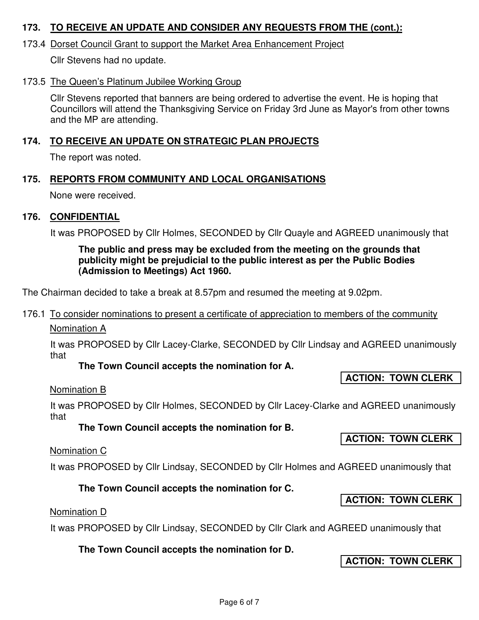### **173. TO RECEIVE AN UPDATE AND CONSIDER ANY REQUESTS FROM THE (cont.):**

#### 173.4 Dorset Council Grant to support the Market Area Enhancement Project

Cllr Stevens had no update.

#### 173.5 The Queen's Platinum Jubilee Working Group

Cllr Stevens reported that banners are being ordered to advertise the event. He is hoping that Councillors will attend the Thanksgiving Service on Friday 3rd June as Mayor's from other towns and the MP are attending.

#### **174. TO RECEIVE AN UPDATE ON STRATEGIC PLAN PROJECTS**

The report was noted.

### **175. REPORTS FROM COMMUNITY AND LOCAL ORGANISATIONS**

None were received.

#### **176. CONFIDENTIAL**

It was PROPOSED by Cllr Holmes, SECONDED by Cllr Quayle and AGREED unanimously that

### **The public and press may be excluded from the meeting on the grounds that publicity might be prejudicial to the public interest as per the Public Bodies (Admission to Meetings) Act 1960.**

The Chairman decided to take a break at 8.57pm and resumed the meeting at 9.02pm.

# 176.1 To consider nominations to present a certificate of appreciation to members of the community

#### Nomination A

It was PROPOSED by Cllr Lacey-Clarke, SECONDED by Cllr Lindsay and AGREED unanimously that

# **The Town Council accepts the nomination for A.**

#### Nomination B

It was PROPOSED by Cllr Holmes, SECONDED by Cllr Lacey-Clarke and AGREED unanimously that

**The Town Council accepts the nomination for B.**

#### Nomination C

It was PROPOSED by Cllr Lindsay, SECONDED by Cllr Holmes and AGREED unanimously that

# **The Town Council accepts the nomination for C.**

### Nomination D

It was PROPOSED by Cllr Lindsay, SECONDED by Cllr Clark and AGREED unanimously that

# **The Town Council accepts the nomination for D.**

**ACTION: TOWN CLERK** 

# **ACTION: TOWN CLERK**

# **ACTION: TOWN CLERK**

**ACTION: TOWN CLERK**